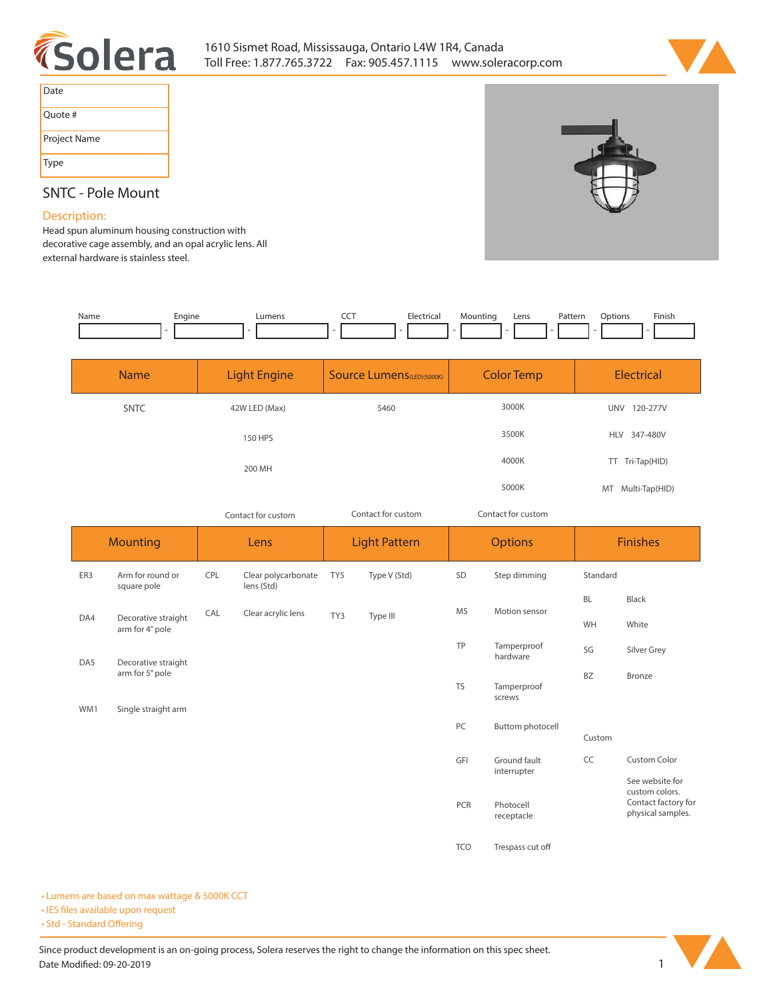



| Date         |
|--------------|
| Quote #      |
| Project Name |
| <b>Type</b>  |

## **SNTC - Pole Mount**

## **Description:**

**Head spun aluminum housing construction with decorative cage assembly, and an opal acrylic lens. All external hardware is stainless steel.** 

| Name | Engine | umen: | Flectrical<br>it a<br>.<br>$\sim$ $\sim$ | Mountina | Lens | Patterr<br>. | Jptions | Finish<br>_______ |
|------|--------|-------|------------------------------------------|----------|------|--------------|---------|-------------------|
|      |        |       |                                          |          |      |              |         |                   |

| <b>Name</b> | <b>Light Engine</b> | <b>Source Lumens</b> (LED)(5000K) | <b>Color Temp</b> | <b>Electrical</b>      |
|-------------|---------------------|-----------------------------------|-------------------|------------------------|
| <b>SNTC</b> | 42W LED (Max)       | 5460                              | 3000K             | 120-277V<br><b>UNV</b> |
|             | 150 HPS             |                                   | 3500K             | HLV 347-480V           |
|             | 200 MH              |                                   | 4000K             | Tri-Tap(HID)<br>TT.    |
|             |                     |                                   | 5000K             | MT Multi-Tap(HID)      |

*Contact for custom Contact for custom*

*Contact for custom*

|     | <b>Mounting</b>                        |     | Lens                              |     | <b>Light Pattern</b> |            | <b>Options</b>          |                                          | <b>Finishes</b>                   |  |
|-----|----------------------------------------|-----|-----------------------------------|-----|----------------------|------------|-------------------------|------------------------------------------|-----------------------------------|--|
| ER3 | Arm for round or<br>square pole        | CPL | Clear polycarbonate<br>lens (Std) | TY5 | Type V (Std)         | SD         | Step dimming            | Standard                                 |                                   |  |
|     |                                        | CAL | Clear acrylic lens                |     |                      | <b>MS</b>  | Motion sensor           | <b>BL</b>                                | Black                             |  |
| DA4 | Decorative straight<br>arm for 4" pole |     |                                   | TY3 | Type III             |            |                         | WH                                       | White                             |  |
| DA5 | Decorative straight                    |     |                                   |     |                      | TP         | Tamperproof<br>hardware | SG                                       | Silver Grey                       |  |
| WM1 | arm for 5" pole<br>Single straight arm |     |                                   |     |                      | <b>TS</b>  | Tamperproof<br>screws   | <b>BZ</b>                                | Bronze                            |  |
|     |                                        |     |                                   |     |                      | PC         | Buttom photocell        | Custom                                   |                                   |  |
|     |                                        |     |                                   |     |                      | GFI        | Ground fault            | CC                                       | <b>Custom Color</b>               |  |
|     |                                        |     |                                   |     |                      |            | interrupter             |                                          | See website for<br>custom colors. |  |
|     |                                        |     |                                   |     |                      | PCR        | Photocell<br>receptacle | Contact factory for<br>physical samples. |                                   |  |
|     |                                        |     |                                   |     |                      | <b>TCO</b> | Trespass cut off        |                                          |                                   |  |

**• Lumens are based on max wattage & 5000K CCT**

**• IES files available upon request** 

• Std - Standard Offering

Since product development is an on-going process, Solera reserves the right to change the information on this spec sheet. **Date Modified: 09-20-2019** 1